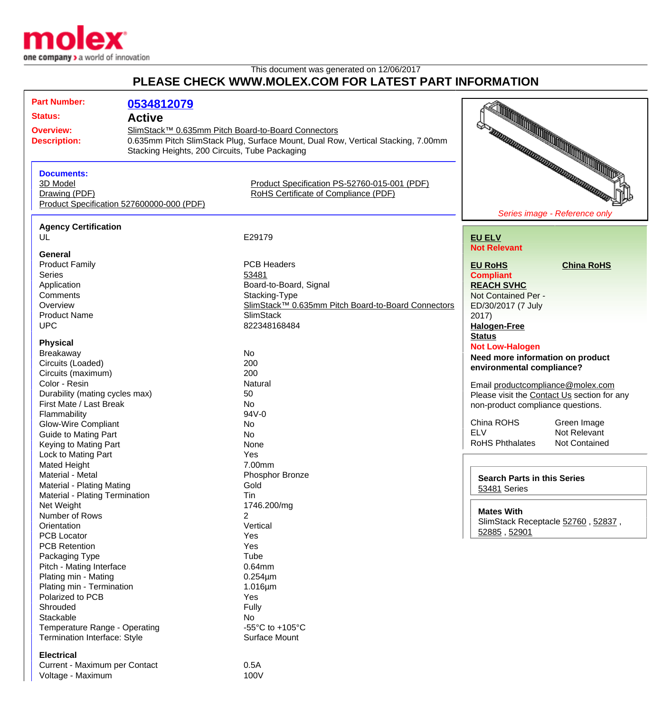

Voltage - Maximum 100V

## This document was generated on 12/06/2017 **PLEASE CHECK WWW.MOLEX.COM FOR LATEST PART INFORMATION**

| <b>Part Number:</b>            |                                                |                                                                                  |                                             |  |
|--------------------------------|------------------------------------------------|----------------------------------------------------------------------------------|---------------------------------------------|--|
|                                | 0534812079                                     |                                                                                  |                                             |  |
| <b>Status:</b>                 | <b>Active</b>                                  |                                                                                  |                                             |  |
| <b>Overview:</b>               |                                                | SlimStack™ 0.635mm Pitch Board-to-Board Connectors                               |                                             |  |
| <b>Description:</b>            |                                                | 0.635mm Pitch SlimStack Plug, Surface Mount, Dual Row, Vertical Stacking, 7.00mm |                                             |  |
|                                | Stacking Heights, 200 Circuits, Tube Packaging |                                                                                  |                                             |  |
|                                |                                                |                                                                                  | FOR THE REAL PROPERTY AND REAL PROPERTY.    |  |
| <b>Documents:</b>              |                                                |                                                                                  |                                             |  |
| 3D Model                       |                                                | Product Specification PS-52760-015-001 (PDF)                                     |                                             |  |
| Drawing (PDF)                  |                                                | RoHS Certificate of Compliance (PDF)                                             |                                             |  |
|                                | Product Specification 527600000-000 (PDF)      |                                                                                  |                                             |  |
|                                |                                                |                                                                                  | Series image - Reference only               |  |
| <b>Agency Certification</b>    |                                                |                                                                                  |                                             |  |
| UL                             |                                                | E29179                                                                           | <b>EU ELV</b>                               |  |
| General                        |                                                |                                                                                  | <b>Not Relevant</b>                         |  |
| <b>Product Family</b>          |                                                | <b>PCB Headers</b>                                                               | <b>China RoHS</b><br><b>EU RoHS</b>         |  |
| <b>Series</b>                  |                                                | 53481                                                                            | <b>Compliant</b>                            |  |
| Application                    |                                                | Board-to-Board, Signal                                                           | <b>REACH SVHC</b>                           |  |
| Comments                       |                                                | Stacking-Type                                                                    | Not Contained Per -                         |  |
| Overview                       |                                                | SlimStack™ 0.635mm Pitch Board-to-Board Connectors                               | ED/30/2017 (7 July                          |  |
| <b>Product Name</b>            |                                                | <b>SlimStack</b>                                                                 | 2017)                                       |  |
| <b>UPC</b>                     |                                                | 822348168484                                                                     |                                             |  |
|                                |                                                |                                                                                  | <b>Halogen-Free</b><br><b>Status</b>        |  |
| <b>Physical</b>                |                                                |                                                                                  |                                             |  |
| <b>Breakaway</b>               |                                                | No                                                                               | <b>Not Low-Halogen</b>                      |  |
| Circuits (Loaded)              |                                                | 200                                                                              | Need more information on product            |  |
| Circuits (maximum)             |                                                | 200                                                                              | environmental compliance?                   |  |
| Color - Resin                  |                                                | Natural                                                                          | Email productcompliance@molex.com           |  |
| Durability (mating cycles max) |                                                | 50                                                                               | Please visit the Contact Us section for any |  |
| First Mate / Last Break        |                                                | No                                                                               | non-product compliance questions.           |  |
| Flammability                   |                                                | 94V-0                                                                            |                                             |  |
| <b>Glow-Wire Compliant</b>     |                                                | No                                                                               | China ROHS<br>Green Image                   |  |
| <b>Guide to Mating Part</b>    |                                                | <b>No</b>                                                                        | <b>ELV</b><br>Not Relevant                  |  |
| Keying to Mating Part          |                                                | None                                                                             | <b>RoHS Phthalates</b><br>Not Contained     |  |
| Lock to Mating Part            |                                                | Yes                                                                              |                                             |  |
| <b>Mated Height</b>            |                                                | 7.00mm                                                                           |                                             |  |
| Material - Metal               |                                                | Phosphor Bronze                                                                  |                                             |  |
| Material - Plating Mating      |                                                | Gold                                                                             | <b>Search Parts in this Series</b>          |  |
| Material - Plating Termination |                                                | Tin                                                                              | 53481 Series                                |  |
| Net Weight                     |                                                | 1746.200/mg                                                                      |                                             |  |
| Number of Rows                 |                                                | 2                                                                                | <b>Mates With</b>                           |  |
| Orientation                    |                                                | Vertical                                                                         | SlimStack Receptacle 52760, 52837,          |  |
| PCB Locator                    |                                                | Yes                                                                              | 52885, 52901                                |  |
| <b>PCB Retention</b>           |                                                | Yes                                                                              |                                             |  |
| Packaging Type                 |                                                | Tube                                                                             |                                             |  |
| Pitch - Mating Interface       |                                                | $0.64$ mm                                                                        |                                             |  |
| Plating min - Mating           |                                                | $0.254 \mu m$                                                                    |                                             |  |
| Plating min - Termination      |                                                | $1.016 \mu m$                                                                    |                                             |  |
| Polarized to PCB               |                                                | Yes                                                                              |                                             |  |
| Shrouded                       |                                                | Fully                                                                            |                                             |  |
| Stackable                      |                                                | No                                                                               |                                             |  |
| Temperature Range - Operating  |                                                | -55 $\mathrm{^{\circ}C}$ to +105 $\mathrm{^{\circ}C}$                            |                                             |  |
| Termination Interface: Style   |                                                | Surface Mount                                                                    |                                             |  |
|                                |                                                |                                                                                  |                                             |  |
| <b>Electrical</b>              |                                                |                                                                                  |                                             |  |
| Current - Maximum per Contact  |                                                | 0.5A                                                                             |                                             |  |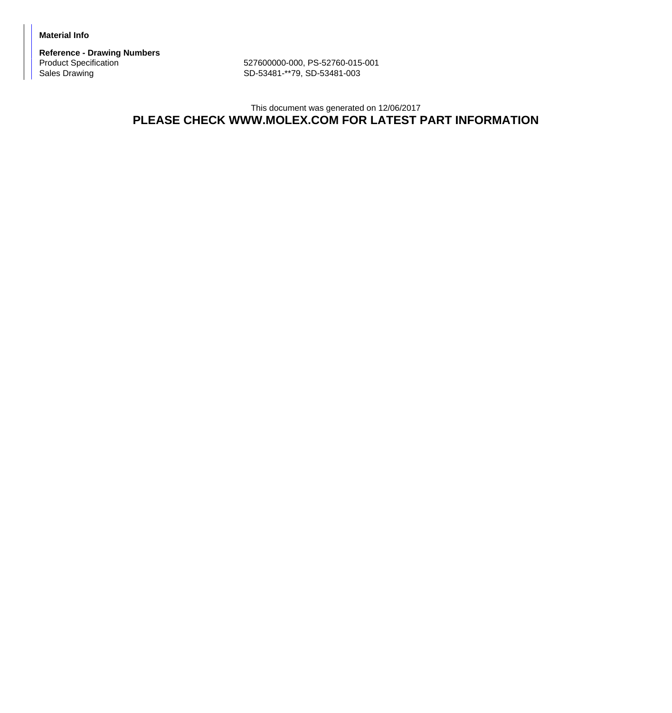**Material Info**

**Reference - Drawing Numbers**

Product Specification 627600000-000, PS-52760-015-001<br>Sales Drawing 62760-015-001<br>SD-53481-\*\*79, SD-53481-003 SD-53481-\*\*79, SD-53481-003

## This document was generated on 12/06/2017 **PLEASE CHECK WWW.MOLEX.COM FOR LATEST PART INFORMATION**